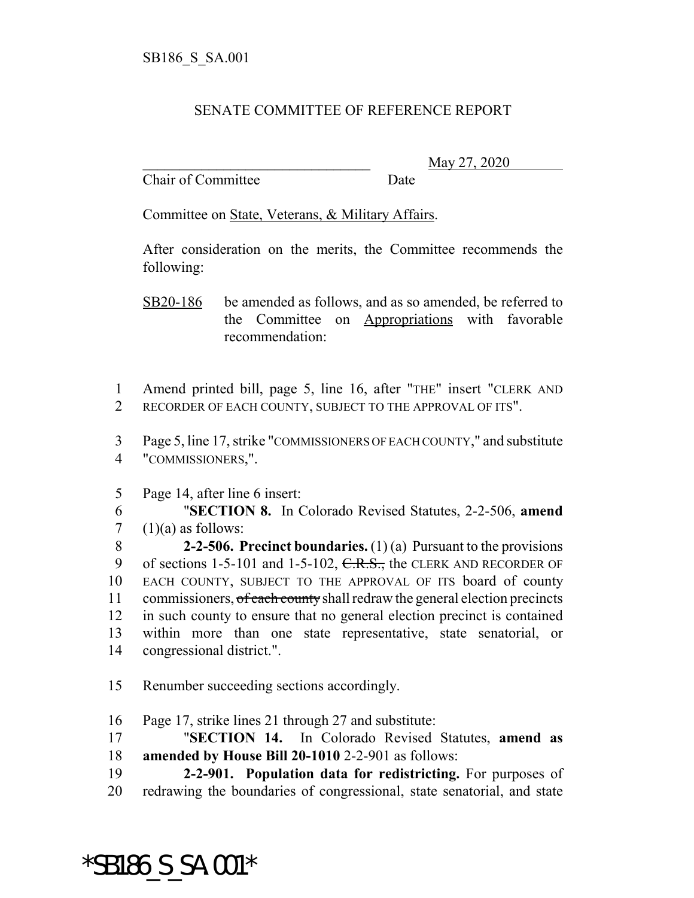## SENATE COMMITTEE OF REFERENCE REPORT

Chair of Committee Date

\_\_\_\_\_\_\_\_\_\_\_\_\_\_\_\_\_\_\_\_\_\_\_\_\_\_\_\_\_\_\_ May 27, 2020

Committee on State, Veterans, & Military Affairs.

After consideration on the merits, the Committee recommends the following:

SB20-186 be amended as follows, and as so amended, be referred to the Committee on Appropriations with favorable recommendation:

1 Amend printed bill, page 5, line 16, after "THE" insert "CLERK AND 2 RECORDER OF EACH COUNTY, SUBJECT TO THE APPROVAL OF ITS".

3 Page 5, line 17, strike "COMMISSIONERS OF EACH COUNTY," and substitute 4 "COMMISSIONERS,".

5 Page 14, after line 6 insert:

6 "**SECTION 8.** In Colorado Revised Statutes, 2-2-506, **amend** 7  $(1)(a)$  as follows:

 **2-2-506. Precinct boundaries.** (1) (a) Pursuant to the provisions 9 of sections 1-5-101 and 1-5-102, C.R.S., the CLERK AND RECORDER OF EACH COUNTY, SUBJECT TO THE APPROVAL OF ITS board of county 11 commissioners, of each county shall redraw the general election precincts in such county to ensure that no general election precinct is contained within more than one state representative, state senatorial, or congressional district.".

15 Renumber succeeding sections accordingly.

16 Page 17, strike lines 21 through 27 and substitute:

17 "**SECTION 14.** In Colorado Revised Statutes, **amend as** 18 **amended by House Bill 20-1010** 2-2-901 as follows:

19 **2-2-901. Population data for redistricting.** For purposes of 20 redrawing the boundaries of congressional, state senatorial, and state

\*SB186\_S\_SA.001\*